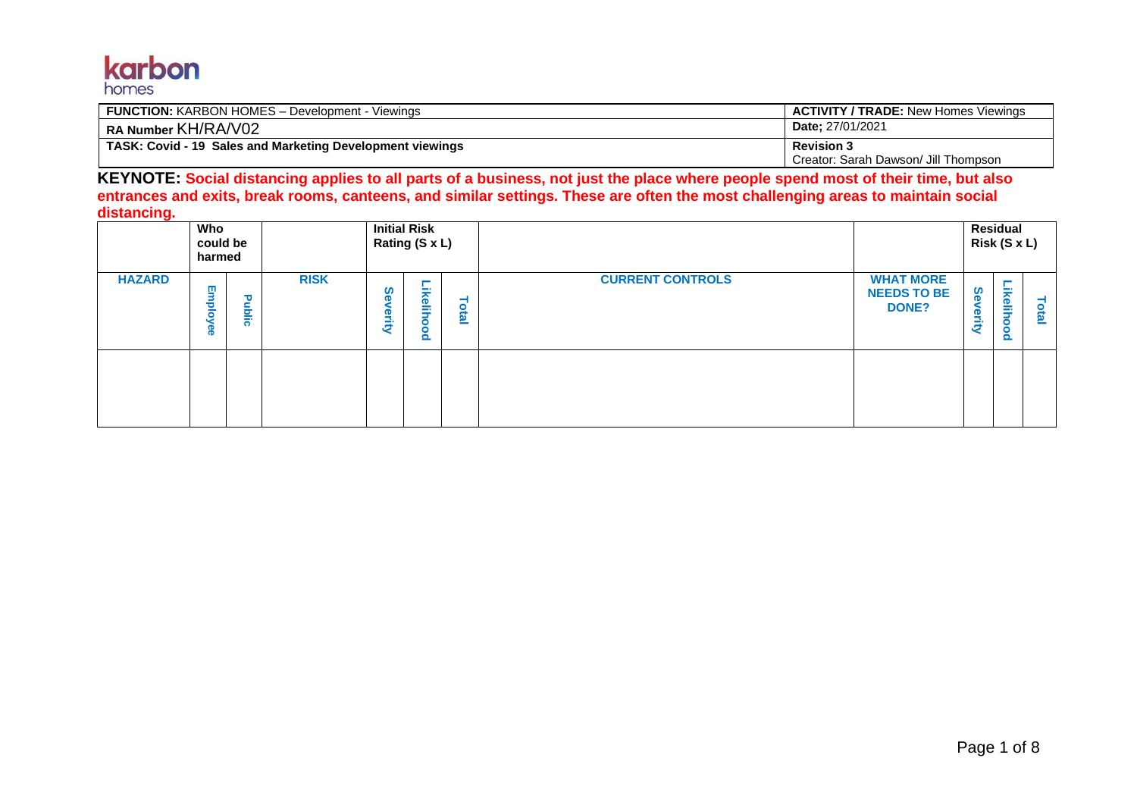#### karbon homes

| <b>FUNCTION: KARBON HOMES - Development - Viewings</b>    | <b>ACTIVITY / TRADE: New Homes Viewings</b> |
|-----------------------------------------------------------|---------------------------------------------|
| RA Number KH/RA/V02                                       | <b>Date: 27/01/2021</b>                     |
| TASK: Covid - 19 Sales and Marketing Development viewings | <b>Revision 3</b>                           |
|                                                           | Creator: Sarah Dawson/ Jill Thompson        |

**KEYNOTE: Social distancing applies to all parts of a business, not just the place where people spend most of their time, but also entrances and exits, break rooms, canteens, and similar settings. These are often the most challenging areas to maintain social distancing.**

|               | <b>Initial Risk</b><br>Who<br>Rating (S x L)<br>could be<br>harmed |       |             |                    |                            |       | Residual<br>Risk (S x L) |                                                        |                    |                                                 |       |
|---------------|--------------------------------------------------------------------|-------|-------------|--------------------|----------------------------|-------|--------------------------|--------------------------------------------------------|--------------------|-------------------------------------------------|-------|
| <b>HAZARD</b> | Employ<br><b>D</b><br><b>D</b>                                     | ublic | <b>RISK</b> | <b>Se</b><br>erity | <b>ikelih</b><br>$\bullet$ | Total | <b>CURRENT CONTROLS</b>  | <b>WHAT MORE</b><br><b>NEEDS TO BE</b><br><b>DONE?</b> | <b>Se</b><br>erity | <b>ikelih</b><br>$\bullet$<br>$\mathbf{\Omega}$ | Total |
|               |                                                                    |       |             |                    |                            |       |                          |                                                        |                    |                                                 |       |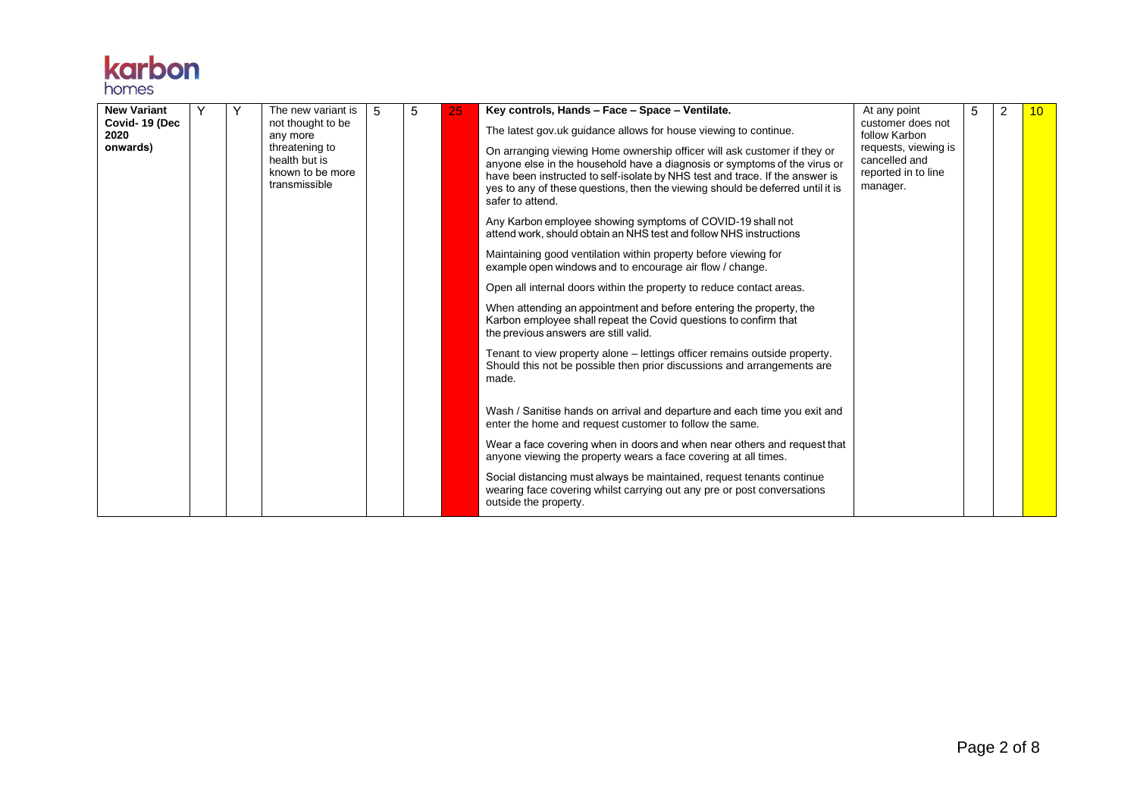| <b>New Variant</b><br>Covid-19 (Dec<br>2020<br>onwards) |                                                                      | The new variant is<br>not thought to be<br>any more<br>threatening to<br>health but is<br>known to be more<br>transmissible | 5 | 5 | 25 | Key controls, Hands - Face - Space - Ventilate.<br>The latest gov.uk guidance allows for house viewing to continue.<br>On arranging viewing Home ownership officer will ask customer if they or<br>anyone else in the household have a diagnosis or symptoms of the virus or<br>have been instructed to self-isolate by NHS test and trace. If the answer is<br>yes to any of these questions, then the viewing should be deferred until it is<br>safer to attend. | At any point<br>customer does not<br>follow Karbon<br>requests, viewing is<br>cancelled and<br>reported in to line<br>manager. |  | $\overline{2}$ | 10 <sup>1</sup> |
|---------------------------------------------------------|----------------------------------------------------------------------|-----------------------------------------------------------------------------------------------------------------------------|---|---|----|--------------------------------------------------------------------------------------------------------------------------------------------------------------------------------------------------------------------------------------------------------------------------------------------------------------------------------------------------------------------------------------------------------------------------------------------------------------------|--------------------------------------------------------------------------------------------------------------------------------|--|----------------|-----------------|
|                                                         |                                                                      |                                                                                                                             |   |   |    | Any Karbon employee showing symptoms of COVID-19 shall not<br>attend work, should obtain an NHS test and follow NHS instructions                                                                                                                                                                                                                                                                                                                                   |                                                                                                                                |  |                |                 |
|                                                         |                                                                      |                                                                                                                             |   |   |    | Maintaining good ventilation within property before viewing for<br>example open windows and to encourage air flow / change.                                                                                                                                                                                                                                                                                                                                        |                                                                                                                                |  |                |                 |
|                                                         | Open all internal doors within the property to reduce contact areas. |                                                                                                                             |   |   |    |                                                                                                                                                                                                                                                                                                                                                                                                                                                                    |                                                                                                                                |  |                |                 |
|                                                         |                                                                      |                                                                                                                             |   |   |    | When attending an appointment and before entering the property, the<br>Karbon employee shall repeat the Covid questions to confirm that<br>the previous answers are still valid.                                                                                                                                                                                                                                                                                   |                                                                                                                                |  |                |                 |
|                                                         |                                                                      |                                                                                                                             |   |   |    | Tenant to view property alone – lettings officer remains outside property.<br>Should this not be possible then prior discussions and arrangements are<br>made.                                                                                                                                                                                                                                                                                                     |                                                                                                                                |  |                |                 |
|                                                         |                                                                      |                                                                                                                             |   |   |    | Wash / Sanitise hands on arrival and departure and each time you exit and<br>enter the home and request customer to follow the same.                                                                                                                                                                                                                                                                                                                               |                                                                                                                                |  |                |                 |
|                                                         |                                                                      |                                                                                                                             |   |   |    | Wear a face covering when in doors and when near others and request that<br>anyone viewing the property wears a face covering at all times.                                                                                                                                                                                                                                                                                                                        |                                                                                                                                |  |                |                 |
|                                                         |                                                                      |                                                                                                                             |   |   |    | Social distancing must always be maintained, request tenants continue<br>wearing face covering whilst carrying out any pre or post conversations<br>outside the property.                                                                                                                                                                                                                                                                                          |                                                                                                                                |  |                |                 |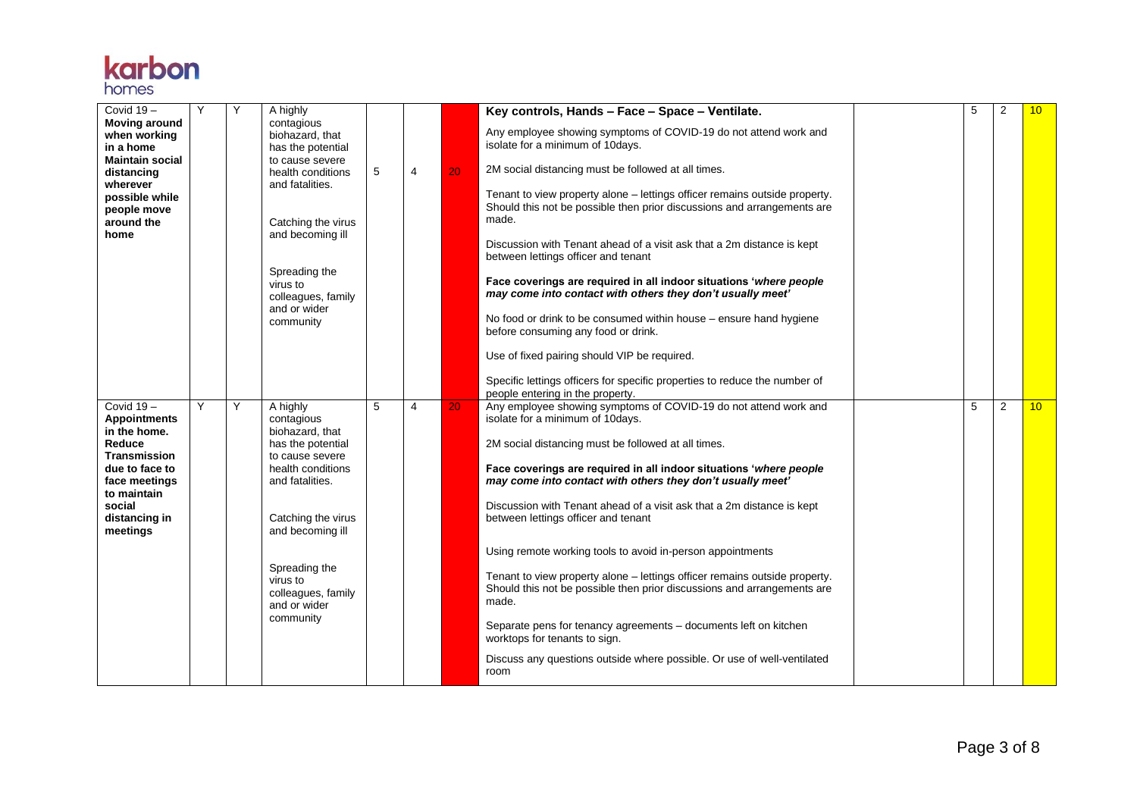| Covid $19-$<br><b>Moving around</b><br>when working<br>in a home<br><b>Maintain social</b><br>distancing<br>wherever<br>possible while<br>people move<br>around the<br>home | Υ | Υ | A highly<br>contagious<br>biohazard, that<br>has the potential<br>to cause severe<br>health conditions<br>and fatalities.<br>Catching the virus<br>and becoming ill<br>Spreading the<br>virus to<br>colleagues, family<br>and or wider<br>community | 5 | 4              | 20 | Key controls, Hands - Face - Space - Ventilate.<br>Any employee showing symptoms of COVID-19 do not attend work and<br>isolate for a minimum of 10days.<br>2M social distancing must be followed at all times.<br>Tenant to view property alone - lettings officer remains outside property.<br>Should this not be possible then prior discussions and arrangements are<br>made.<br>Discussion with Tenant ahead of a visit ask that a 2m distance is kept<br>between lettings officer and tenant<br>Face coverings are required in all indoor situations 'where people<br>may come into contact with others they don't usually meet'<br>No food or drink to be consumed within house - ensure hand hygiene<br>before consuming any food or drink.<br>Use of fixed pairing should VIP be required.<br>Specific lettings officers for specific properties to reduce the number of<br>people entering in the property. | 5 | 2 | 10              |
|-----------------------------------------------------------------------------------------------------------------------------------------------------------------------------|---|---|-----------------------------------------------------------------------------------------------------------------------------------------------------------------------------------------------------------------------------------------------------|---|----------------|----|----------------------------------------------------------------------------------------------------------------------------------------------------------------------------------------------------------------------------------------------------------------------------------------------------------------------------------------------------------------------------------------------------------------------------------------------------------------------------------------------------------------------------------------------------------------------------------------------------------------------------------------------------------------------------------------------------------------------------------------------------------------------------------------------------------------------------------------------------------------------------------------------------------------------|---|---|-----------------|
| Covid 19-<br><b>Appointments</b><br>in the home.<br>Reduce<br><b>Transmission</b><br>due to face to<br>face meetings<br>to maintain<br>social<br>distancing in<br>meetings  | Y | Y | A highly<br>contagious<br>biohazard, that<br>has the potential<br>to cause severe<br>health conditions<br>and fatalities.<br>Catching the virus<br>and becoming ill<br>Spreading the<br>virus to<br>colleagues, family<br>and or wider<br>community | 5 | $\overline{4}$ | 20 | Any employee showing symptoms of COVID-19 do not attend work and<br>isolate for a minimum of 10days.<br>2M social distancing must be followed at all times.<br>Face coverings are required in all indoor situations 'where people<br>may come into contact with others they don't usually meet'<br>Discussion with Tenant ahead of a visit ask that a 2m distance is kept<br>between lettings officer and tenant<br>Using remote working tools to avoid in-person appointments<br>Tenant to view property alone – lettings officer remains outside property.<br>Should this not be possible then prior discussions and arrangements are<br>made.<br>Separate pens for tenancy agreements - documents left on kitchen<br>worktops for tenants to sign.<br>Discuss any questions outside where possible. Or use of well-ventilated<br>room                                                                             | 5 | 2 | 10 <sup>°</sup> |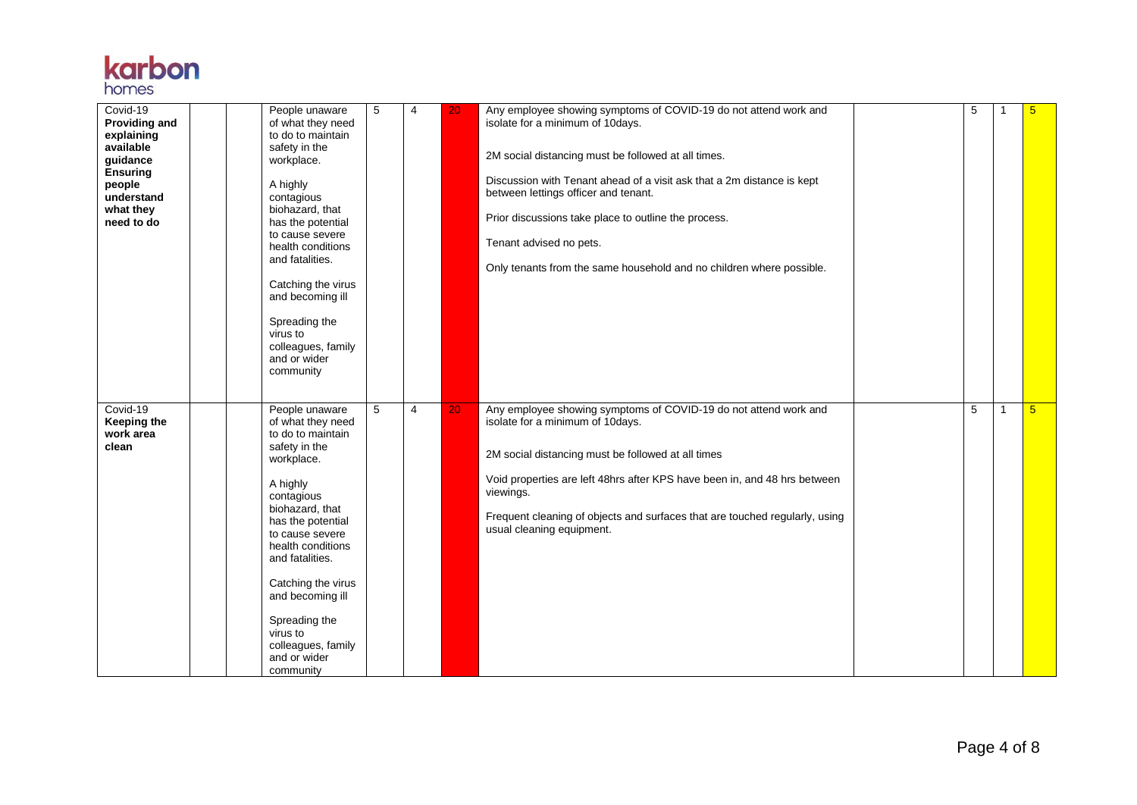| Covid-19<br><b>Providing and</b><br>explaining<br>available<br>guidance<br><b>Ensuring</b><br>people<br>understand<br>what they<br>need to do | People unaware<br>of what they need<br>to do to maintain<br>safety in the<br>workplace.<br>A highly<br>contagious<br>biohazard, that<br>has the potential<br>to cause severe<br>health conditions<br>and fatalities.<br>Catching the virus<br>and becoming ill<br>Spreading the<br>virus to<br>colleagues, family<br>and or wider<br>community | 5 | $\overline{4}$ | 20 | Any employee showing symptoms of COVID-19 do not attend work and<br>isolate for a minimum of 10days.<br>2M social distancing must be followed at all times.<br>Discussion with Tenant ahead of a visit ask that a 2m distance is kept<br>between lettings officer and tenant.<br>Prior discussions take place to outline the process.<br>Tenant advised no pets.<br>Only tenants from the same household and no children where possible. | 5 |                | 5               |
|-----------------------------------------------------------------------------------------------------------------------------------------------|------------------------------------------------------------------------------------------------------------------------------------------------------------------------------------------------------------------------------------------------------------------------------------------------------------------------------------------------|---|----------------|----|------------------------------------------------------------------------------------------------------------------------------------------------------------------------------------------------------------------------------------------------------------------------------------------------------------------------------------------------------------------------------------------------------------------------------------------|---|----------------|-----------------|
| Covid-19<br>Keeping the<br>work area<br>clean                                                                                                 | People unaware<br>of what they need<br>to do to maintain<br>safety in the<br>workplace.<br>A highly<br>contagious<br>biohazard, that<br>has the potential<br>to cause severe<br>health conditions<br>and fatalities.<br>Catching the virus<br>and becoming ill<br>Spreading the<br>virus to<br>colleagues, family<br>and or wider<br>community | 5 | $\overline{4}$ | 20 | Any employee showing symptoms of COVID-19 do not attend work and<br>isolate for a minimum of 10days.<br>2M social distancing must be followed at all times<br>Void properties are left 48hrs after KPS have been in, and 48 hrs between<br>viewings.<br>Frequent cleaning of objects and surfaces that are touched regularly, using<br>usual cleaning equipment.                                                                         | 5 | $\overline{1}$ | $5\overline{)}$ |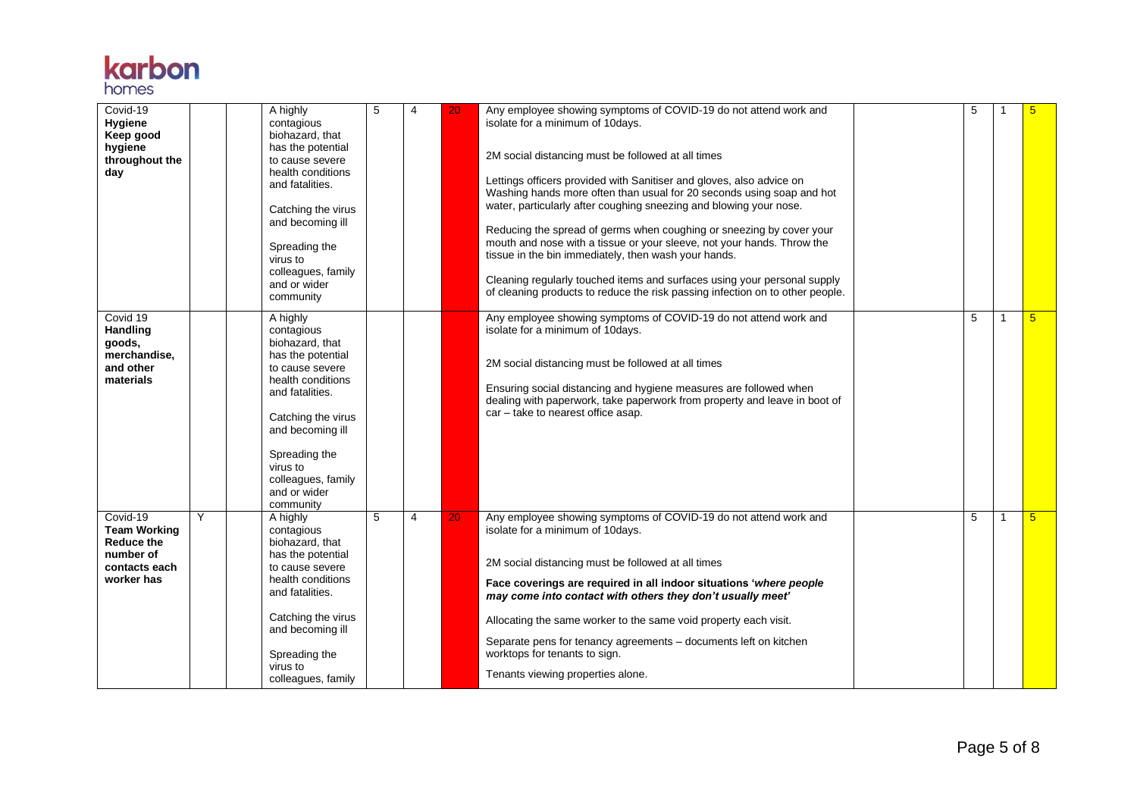

| Covid-19<br>Hygiene<br>Keep good<br>hygiene<br>throughout the<br>day                             |   | A highly<br>contagious<br>biohazard, that<br>has the potential<br>to cause severe<br>health conditions<br>and fatalities.<br>Catching the virus<br>and becoming ill<br>Spreading the<br>virus to<br>colleagues, family<br>and or wider<br>community | 5 | $\overline{4}$ | 20 | Any employee showing symptoms of COVID-19 do not attend work and<br>isolate for a minimum of 10days.<br>2M social distancing must be followed at all times<br>Lettings officers provided with Sanitiser and gloves, also advice on<br>Washing hands more often than usual for 20 seconds using soap and hot<br>water, particularly after coughing sneezing and blowing your nose.<br>Reducing the spread of germs when coughing or sneezing by cover your<br>mouth and nose with a tissue or your sleeve, not your hands. Throw the<br>tissue in the bin immediately, then wash your hands.<br>Cleaning regularly touched items and surfaces using your personal supply<br>of cleaning products to reduce the risk passing infection on to other people. | 5 |   | 5          |
|--------------------------------------------------------------------------------------------------|---|-----------------------------------------------------------------------------------------------------------------------------------------------------------------------------------------------------------------------------------------------------|---|----------------|----|----------------------------------------------------------------------------------------------------------------------------------------------------------------------------------------------------------------------------------------------------------------------------------------------------------------------------------------------------------------------------------------------------------------------------------------------------------------------------------------------------------------------------------------------------------------------------------------------------------------------------------------------------------------------------------------------------------------------------------------------------------|---|---|------------|
| Covid 19<br><b>Handling</b><br>goods,<br>merchandise,<br>and other<br>materials                  |   | A highly<br>contagious<br>biohazard, that<br>has the potential<br>to cause severe<br>health conditions<br>and fatalities.<br>Catching the virus<br>and becoming ill<br>Spreading the<br>virus to<br>colleagues, family<br>and or wider<br>community |   |                |    | Any employee showing symptoms of COVID-19 do not attend work and<br>isolate for a minimum of 10days.<br>2M social distancing must be followed at all times<br>Ensuring social distancing and hygiene measures are followed when<br>dealing with paperwork, take paperwork from property and leave in boot of<br>car - take to nearest office asap.                                                                                                                                                                                                                                                                                                                                                                                                       | 5 | 1 | $\sqrt{5}$ |
| Covid-19<br><b>Team Working</b><br><b>Reduce the</b><br>number of<br>contacts each<br>worker has | Y | A highly<br>contagious<br>biohazard, that<br>has the potential<br>to cause severe<br>health conditions<br>and fatalities.<br>Catching the virus<br>and becoming ill<br>Spreading the<br>virus to<br>colleagues, family                              | 5 | 4              | 20 | Any employee showing symptoms of COVID-19 do not attend work and<br>isolate for a minimum of 10days.<br>2M social distancing must be followed at all times<br>Face coverings are required in all indoor situations 'where people<br>may come into contact with others they don't usually meet'<br>Allocating the same worker to the same void property each visit.<br>Separate pens for tenancy agreements - documents left on kitchen<br>worktops for tenants to sign.<br>Tenants viewing properties alone.                                                                                                                                                                                                                                             | 5 | 1 | 5          |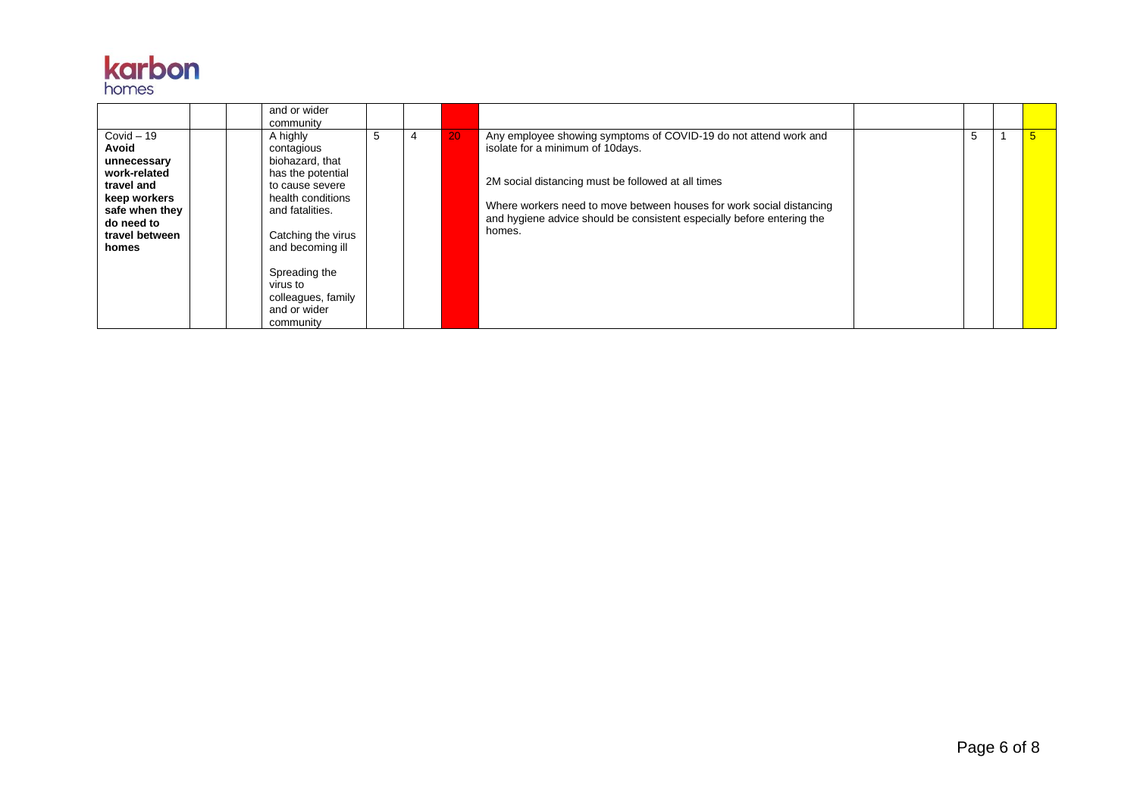|                                                                                                                                               | and or wider<br>community                                                                                                                                                                                                                           |   |   |    |                                                                                                                                                                                                                                                                                                                         |    |                 |
|-----------------------------------------------------------------------------------------------------------------------------------------------|-----------------------------------------------------------------------------------------------------------------------------------------------------------------------------------------------------------------------------------------------------|---|---|----|-------------------------------------------------------------------------------------------------------------------------------------------------------------------------------------------------------------------------------------------------------------------------------------------------------------------------|----|-----------------|
| $Covid - 19$<br>Avoid<br>unnecessary<br>work-related<br>travel and<br>keep workers<br>safe when they<br>do need to<br>travel between<br>homes | A highly<br>contagious<br>biohazard, that<br>has the potential<br>to cause severe<br>health conditions<br>and fatalities.<br>Catching the virus<br>and becoming ill<br>Spreading the<br>virus to<br>colleagues, family<br>and or wider<br>community | 5 | 4 | 20 | Any employee showing symptoms of COVID-19 do not attend work and<br>isolate for a minimum of 10 days.<br>2M social distancing must be followed at all times<br>Where workers need to move between houses for work social distancing<br>and hygiene advice should be consistent especially before entering the<br>homes. | .5 | $5\overline{)}$ |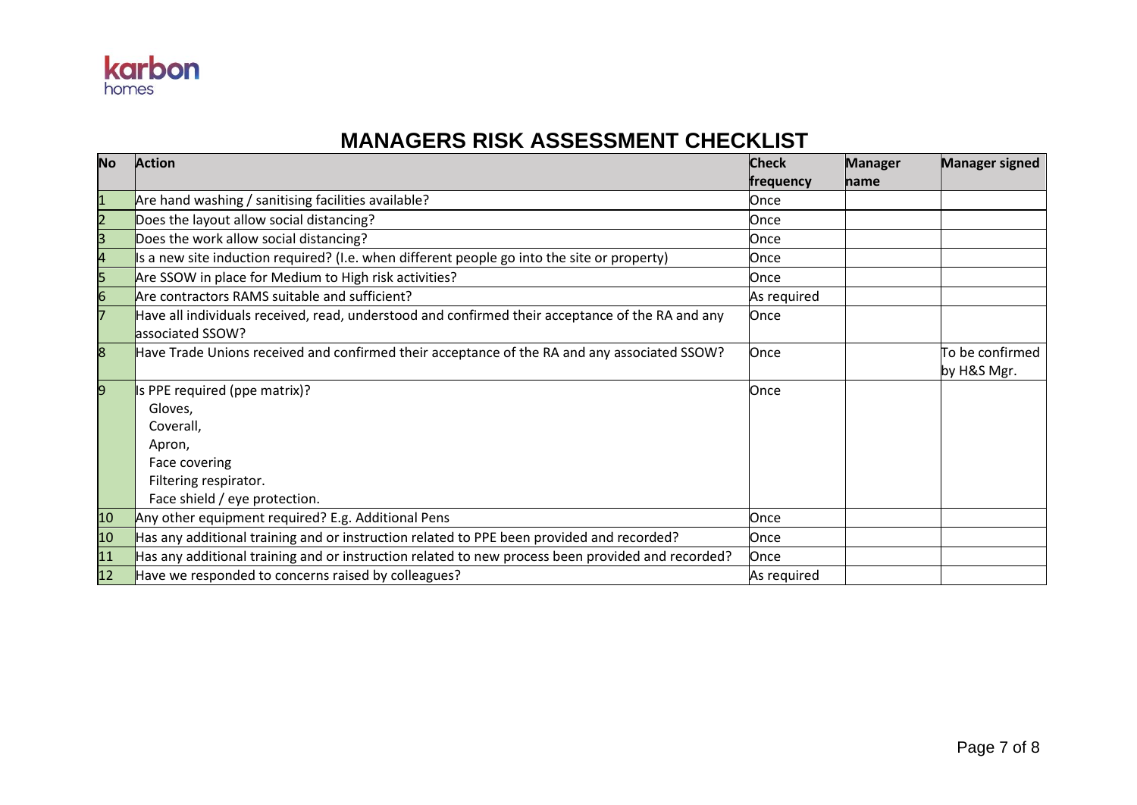

#### **MANAGERS RISK ASSESSMENT CHECKLIST**

| <b>No</b>    | <b>Action</b>                                                                                                        | <b>Check</b> | <b>Manager</b> | <b>Manager signed</b>          |
|--------------|----------------------------------------------------------------------------------------------------------------------|--------------|----------------|--------------------------------|
|              |                                                                                                                      | frequency    | name           |                                |
| $\mathbf{1}$ | Are hand washing / sanitising facilities available?                                                                  | Once         |                |                                |
| 2            | Does the layout allow social distancing?                                                                             | Once         |                |                                |
| 3            | Does the work allow social distancing?                                                                               | Once         |                |                                |
|              | Is a new site induction required? (I.e. when different people go into the site or property)                          | Once         |                |                                |
| 5            | Are SSOW in place for Medium to High risk activities?                                                                | Once         |                |                                |
| 6            | Are contractors RAMS suitable and sufficient?                                                                        | As required  |                |                                |
|              | Have all individuals received, read, understood and confirmed their acceptance of the RA and any<br>associated SSOW? | Once         |                |                                |
| 8            | Have Trade Unions received and confirmed their acceptance of the RA and any associated SSOW?                         | Once         |                | To be confirmed<br>by H&S Mgr. |
| 9            | Is PPE required (ppe matrix)?                                                                                        | Once         |                |                                |
|              | Gloves,                                                                                                              |              |                |                                |
|              | Coverall,                                                                                                            |              |                |                                |
|              | Apron,                                                                                                               |              |                |                                |
|              | Face covering                                                                                                        |              |                |                                |
|              | Filtering respirator.                                                                                                |              |                |                                |
|              | Face shield / eye protection.                                                                                        |              |                |                                |
| 10           | Any other equipment required? E.g. Additional Pens                                                                   | Once         |                |                                |
| 10           | Has any additional training and or instruction related to PPE been provided and recorded?                            | Once         |                |                                |
| 11           | Has any additional training and or instruction related to new process been provided and recorded?                    | Once         |                |                                |
| 12           | Have we responded to concerns raised by colleagues?                                                                  | As required  |                |                                |